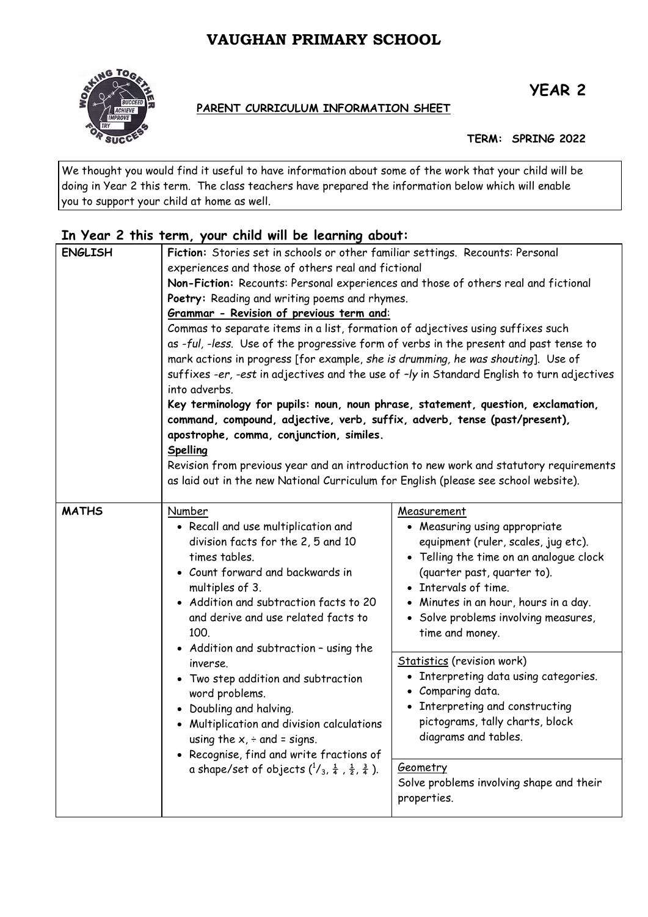## **VAUGHAN PRIMARY SCHOOL**



# **YEAR 2**

#### **PARENT CURRICULUM INFORMATION SHEET**

**TERM: SPRING 2022**

We thought you would find it useful to have information about some of the work that your child will be doing in Year 2 this term. The class teachers have prepared the information below which will enable you to support your child at home as well.

### **In Year 2 this term, your child will be learning about:**

| <b>ENGLISH</b> | Fiction: Stories set in schools or other familiar settings. Recounts: Personal<br>experiences and those of others real and fictional<br>Non-Fiction: Recounts: Personal experiences and those of others real and fictional<br>Poetry: Reading and writing poems and rhymes.<br>Grammar - Revision of previous term and:<br>Commas to separate items in a list, formation of adjectives using suffixes such<br>as -ful, -less. Use of the progressive form of verbs in the present and past tense to<br>mark actions in progress [for example, she is drumming, he was shouting]. Use of<br>suffixes -er, -est in adjectives and the use of -ly in Standard English to turn adjectives<br>into adverbs.<br>Key terminology for pupils: noun, noun phrase, statement, question, exclamation, |                                                                                                                                                                                                                                                                                           |  |
|----------------|--------------------------------------------------------------------------------------------------------------------------------------------------------------------------------------------------------------------------------------------------------------------------------------------------------------------------------------------------------------------------------------------------------------------------------------------------------------------------------------------------------------------------------------------------------------------------------------------------------------------------------------------------------------------------------------------------------------------------------------------------------------------------------------------|-------------------------------------------------------------------------------------------------------------------------------------------------------------------------------------------------------------------------------------------------------------------------------------------|--|
|                | command, compound, adjective, verb, suffix, adverb, tense (past/present),<br>apostrophe, comma, conjunction, similes.<br>Spelling<br>Revision from previous year and an introduction to new work and statutory requirements<br>as laid out in the new National Curriculum for English (please see school website).                                                                                                                                                                                                                                                                                                                                                                                                                                                                         |                                                                                                                                                                                                                                                                                           |  |
| <b>MATHS</b>   | Number<br>• Recall and use multiplication and<br>division facts for the 2, 5 and 10<br>times tables.<br>• Count forward and backwards in<br>multiples of 3.<br>• Addition and subtraction facts to 20<br>and derive and use related facts to<br>100.<br>• Addition and subtraction - using the<br>inverse.<br>• Two step addition and subtraction<br>word problems.<br>• Doubling and halving.<br>• Multiplication and division calculations<br>using the $x$ , $\div$ and = signs.<br>• Recognise, find and write fractions of<br>a shape/set of objects $(^{1}/_{3}, \frac{1}{4}, \frac{1}{2}, \frac{3}{4})$ .                                                                                                                                                                           | Measurement<br>• Measuring using appropriate<br>equipment (ruler, scales, jug etc).<br>• Telling the time on an analogue clock<br>(quarter past, quarter to).<br>• Intervals of time.<br>• Minutes in an hour, hours in a day.<br>• Solve problems involving measures,<br>time and money. |  |
|                |                                                                                                                                                                                                                                                                                                                                                                                                                                                                                                                                                                                                                                                                                                                                                                                            | <b>Statistics</b> (revision work)<br>• Interpreting data using categories.<br>• Comparing data.<br>• Interpreting and constructing<br>pictograms, tally charts, block<br>diagrams and tables.                                                                                             |  |
|                |                                                                                                                                                                                                                                                                                                                                                                                                                                                                                                                                                                                                                                                                                                                                                                                            | <b>Geometry</b><br>Solve problems involving shape and their<br>properties.                                                                                                                                                                                                                |  |